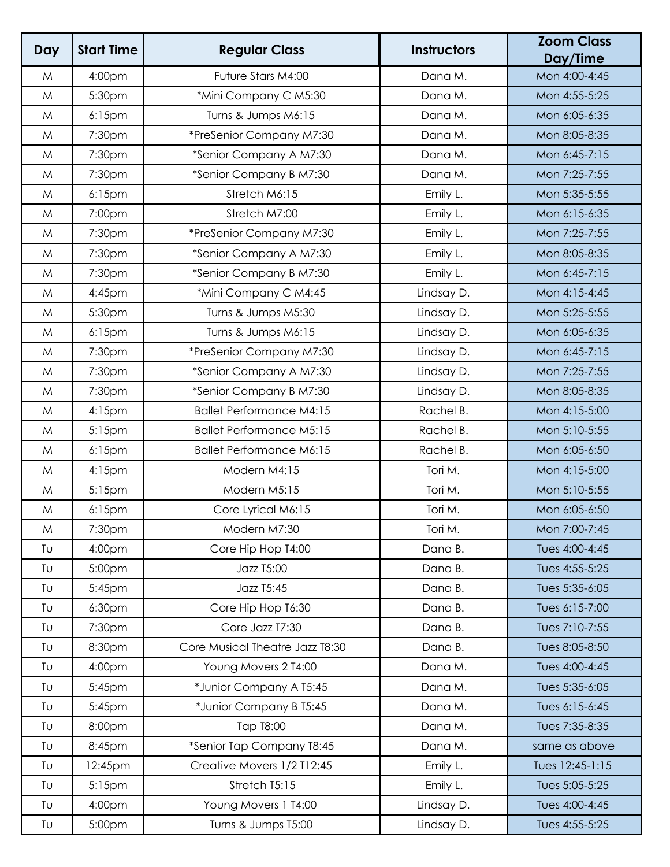| Day | <b>Start Time</b>  | <b>Regular Class</b>            | <b>Instructors</b> | <b>Zoom Class</b><br>Day/Time |
|-----|--------------------|---------------------------------|--------------------|-------------------------------|
| M   | 4:00pm             | Future Stars M4:00              | Dana M.            | Mon 4:00-4:45                 |
| M   | 5:30pm             | *Mini Company C M5:30           | Dana M.            | Mon 4:55-5:25                 |
| M   | $6:15$ pm          | Turns & Jumps M6:15             | Dana M.            | Mon 6:05-6:35                 |
| M   | 7:30pm             | *PreSenior Company M7:30        | Dana M.            | Mon 8:05-8:35                 |
| M   | 7:30pm             | *Senior Company A M7:30         | Dana M.            | Mon 6:45-7:15                 |
| M   | 7:30pm             | *Senior Company B M7:30         | Dana M.            | Mon 7:25-7:55                 |
| M   | $6:15$ pm          | Stretch M6:15                   | Emily L.           | Mon 5:35-5:55                 |
| M   | 7:00pm             | Stretch M7:00                   | Emily L.           | Mon 6:15-6:35                 |
| M   | 7:30pm             | *PreSenior Company M7:30        | Emily L.           | Mon 7:25-7:55                 |
| M   | 7:30pm             | *Senior Company A M7:30         | Emily L.           | Mon 8:05-8:35                 |
| M   | 7:30pm             | *Senior Company B M7:30         | Emily L.           | Mon 6:45-7:15                 |
| M   | 4:45pm             | *Mini Company C M4:45           | Lindsay D.         | Mon 4:15-4:45                 |
| M   | 5:30pm             | Turns & Jumps M5:30             | Lindsay D.         | Mon 5:25-5:55                 |
| M   | $6:15$ pm          | Turns & Jumps M6:15             | Lindsay D.         | Mon 6:05-6:35                 |
| M   | 7:30pm             | *PreSenior Company M7:30        | Lindsay D.         | Mon 6:45-7:15                 |
| M   | 7:30pm             | *Senior Company A M7:30         | Lindsay D.         | Mon 7:25-7:55                 |
| M   | 7:30pm             | *Senior Company B M7:30         | Lindsay D.         | Mon 8:05-8:35                 |
| M   | $4:15$ pm          | <b>Ballet Performance M4:15</b> | Rachel B.          | Mon 4:15-5:00                 |
| M   | 5:15pm             | <b>Ballet Performance M5:15</b> | Rachel B.          | Mon 5:10-5:55                 |
| M   | $6:15$ pm          | <b>Ballet Performance M6:15</b> | Rachel B.          | Mon 6:05-6:50                 |
| M   | $4:15$ pm          | Modern M4:15                    | Tori M.            | Mon 4:15-5:00                 |
| M   | 5:15pm             | Modern M5:15                    | Tori M.            | Mon 5:10-5:55                 |
| M   | $6:15$ pm          | Core Lyrical M6:15              | Tori M.            | Mon 6:05-6:50                 |
| M   | 7:30pm             | Modern M7:30                    | Tori M.            | Mon 7:00-7:45                 |
| TU  | 4:00pm             | Core Hip Hop T4:00              | Dana B.            | Tues 4:00-4:45                |
| TU  | 5:00pm             | <b>Jazz T5:00</b>               | Dana B.            | Tues 4:55-5:25                |
| Tu  | 5:45pm             | Jazz T5:45                      | Dana B.            | Tues 5:35-6:05                |
| Tu  | 6:30pm             | Core Hip Hop T6:30              | Dana B.            | Tues 6:15-7:00                |
| Tu  | 7:30pm             | Core Jazz T7:30                 | Dana B.            | Tues 7:10-7:55                |
| TU  | 8:30pm             | Core Musical Theatre Jazz T8:30 | Dana B.            | Tues 8:05-8:50                |
| Tu  | 4:00pm             | Young Movers 2 T4:00            | Dana M.            | Tues 4:00-4:45                |
| TU  | 5:45pm             | *Junior Company A T5:45         | Dana M.            | Tues 5:35-6:05                |
| Tu  | 5:45pm             | *Junior Company B T5:45         | Dana M.            | Tues 6:15-6:45                |
| TU  | 8:00pm             | Tap T8:00                       | Dana M.            | Tues 7:35-8:35                |
| Tu  | 8:45pm             | *Senior Tap Company T8:45       | Dana M.            | same as above                 |
| TU  | 12:45pm            | Creative Movers 1/2 T12:45      | Emily L.           | Tues 12:45-1:15               |
| Tu  | 5:15 <sub>pm</sub> | Stretch T5:15                   | Emily L.           | Tues 5:05-5:25                |
| Tu  | 4:00pm             | Young Movers 1 T4:00            | Lindsay D.         | Tues 4:00-4:45                |
| Tυ  | 5:00pm             | Turns & Jumps T5:00             | Lindsay D.         | Tues 4:55-5:25                |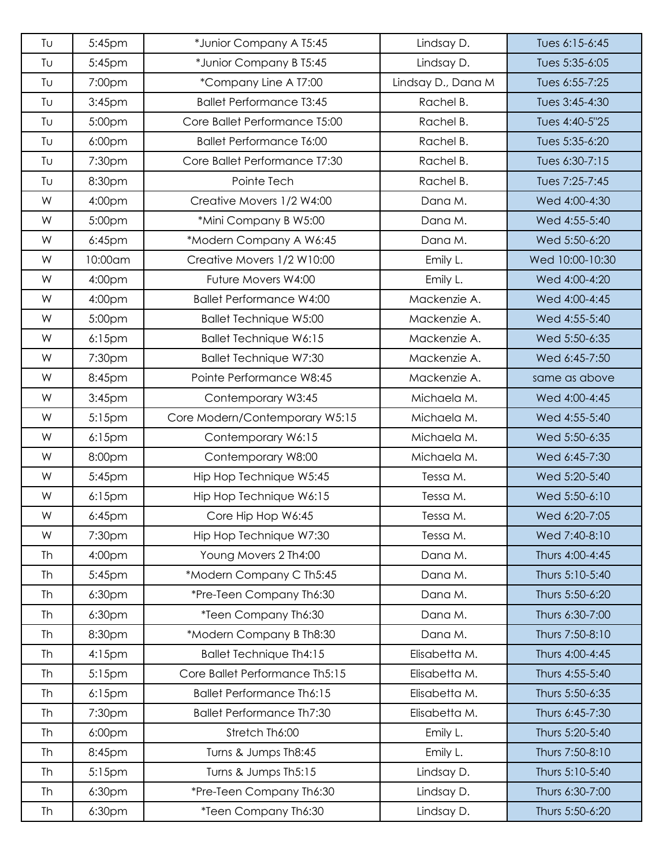| Τυ | 5:45pm             | *Junior Company A T5:45          | Lindsay D.         | Tues 6:15-6:45  |
|----|--------------------|----------------------------------|--------------------|-----------------|
| Tυ | 5:45pm             | *Junior Company B T5:45          | Lindsay D.         | Tues 5:35-6:05  |
| Tυ | 7:00pm             | *Company Line A T7:00            | Lindsay D., Dana M | Tues 6:55-7:25  |
| Tυ | 3:45 <sub>pm</sub> | <b>Ballet Performance T3:45</b>  | Rachel B.          | Tues 3:45-4:30  |
| Tυ | 5:00pm             | Core Ballet Performance T5:00    | Rachel B.          | Tues 4:40-5"25  |
| Tυ | 6:00pm             | <b>Ballet Performance T6:00</b>  | Rachel B.          | Tues 5:35-6:20  |
| Tυ | 7:30pm             | Core Ballet Performance T7:30    | Rachel B.          | Tues 6:30-7:15  |
| Tυ | 8:30pm             | Pointe Tech                      | Rachel B.          | Tues 7:25-7:45  |
| W  | 4:00pm             | Creative Movers 1/2 W4:00        | Dana M.            | Wed 4:00-4:30   |
| W  | 5:00pm             | *Mini Company B W5:00            | Dana M.            | Wed 4:55-5:40   |
| W  | 6:45pm             | *Modern Company A W6:45          | Dana M.            | Wed 5:50-6:20   |
| W  | 10:00am            | Creative Movers 1/2 W10:00       | Emily L.           | Wed 10:00-10:30 |
| W  | 4:00pm             | Future Movers W4:00              | Emily L.           | Wed 4:00-4:20   |
| W  | 4:00pm             | <b>Ballet Performance W4:00</b>  | Mackenzie A.       | Wed 4:00-4:45   |
| W  | 5:00pm             | <b>Ballet Technique W5:00</b>    | Mackenzie A.       | Wed 4:55-5:40   |
| W  | $6:15$ pm          | <b>Ballet Technique W6:15</b>    | Mackenzie A.       | Wed 5:50-6:35   |
| W  | 7:30pm             | <b>Ballet Technique W7:30</b>    | Mackenzie A.       | Wed 6:45-7:50   |
| W  | 8:45pm             | Pointe Performance W8:45         | Mackenzie A.       | same as above   |
| W  | 3:45pm             | Contemporary W3:45               | Michaela M.        | Wed 4:00-4:45   |
| W  | 5:15pm             | Core Modern/Contemporary W5:15   | Michaela M.        | Wed 4:55-5:40   |
| W  | $6:15$ pm          | Contemporary W6:15               | Michaela M.        | Wed 5:50-6:35   |
| W  | 8:00pm             | Contemporary W8:00               | Michaela M.        | Wed 6:45-7:30   |
| W  | 5:45pm             | Hip Hop Technique W5:45          | Tessa M.           | Wed 5:20-5:40   |
| W  | $6:15$ pm          | Hip Hop Technique W6:15          | Tessa M.           | Wed 5:50-6:10   |
| W  | 6:45pm             | Core Hip Hop W6:45               | Tessa M.           | Wed 6:20-7:05   |
| W  | 7:30pm             | Hip Hop Technique W7:30          | Tessa M.           | Wed 7:40-8:10   |
| Th | 4:00pm             | Young Movers 2 Th4:00            | Dana M.            | Thurs 4:00-4:45 |
| Th | 5:45pm             | *Modern Company C Th5:45         | Dana M.            | Thurs 5:10-5:40 |
| Th | 6:30pm             | *Pre-Teen Company Th6:30         | Dana M.            | Thurs 5:50-6:20 |
| Th | 6:30pm             | *Teen Company Th6:30             | Dana M.            | Thurs 6:30-7:00 |
| Th | 8:30pm             | *Modern Company B Th8:30         | Dana M.            | Thurs 7:50-8:10 |
| Th | 4:15pm             | <b>Ballet Technique Th4:15</b>   | Elisabetta M.      | Thurs 4:00-4:45 |
| Th | $5:15$ pm          | Core Ballet Performance Th5:15   | Elisabetta M.      | Thurs 4:55-5:40 |
| Th | $6:15$ pm          | <b>Ballet Performance Th6:15</b> | Elisabetta M.      | Thurs 5:50-6:35 |
| Th | 7:30pm             | <b>Ballet Performance Th7:30</b> | Elisabetta M.      | Thurs 6:45-7:30 |
| Th | 6:00pm             | Stretch Th6:00                   | Emily L.           | Thurs 5:20-5:40 |
| Th | 8:45pm             | Turns & Jumps Th8:45             | Emily L.           | Thurs 7:50-8:10 |
| Th | 5:15pm             | Turns & Jumps Th5:15             | Lindsay D.         | Thurs 5:10-5:40 |
| Th | 6:30pm             | *Pre-Teen Company Th6:30         | Lindsay D.         | Thurs 6:30-7:00 |
| Th | 6:30pm             | *Teen Company Th6:30             | Lindsay D.         | Thurs 5:50-6:20 |